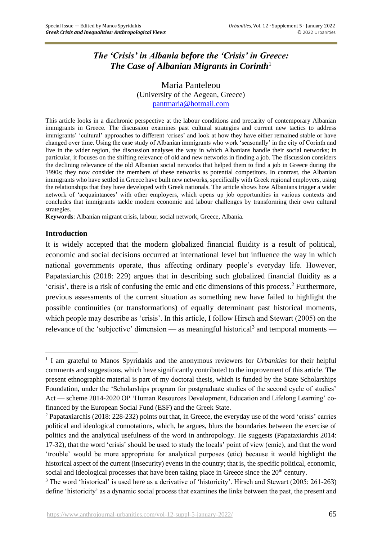# *The 'Crisis' in Albania before the 'Crisis' in Greece: The Case of Albanian Migrants in Corinth*<sup>1</sup>

Maria Panteleou (University of the Aegean, Greece) [pantmaria@hotmail.com](mailto:pantmaria@hotmail.com)

This article looks in a diachronic perspective at the labour conditions and precarity of contemporary Albanian immigrants in Greece. The discussion examines past cultural strategies and current new tactics to address immigrants' 'cultural' approaches to different 'crises' and look at how they have either remained stable or have changed over time. Using the case study of Albanian immigrants who work 'seasonally' in the city of Corinth and live in the wider region, the discussion analyses the way in which Albanians handle their social networks; in particular, it focuses on the shifting relevance of old and new networks in finding a job. The discussion considers the declining relevance of the old Albanian social networks that helped them to find a job in Greece during the 1990s; they now consider the members of these networks as potential competitors. In contrast, the Albanian immigrants who have settled in Greece have built new networks, specifically with Greek regional employers, using the relationships that they have developed with Greek nationals. The article shows how Albanians trigger a wider network of 'acquaintances' with other employers, which opens up job opportunities in various contexts and concludes that immigrants tackle modern economic and labour challenges by transforming their own cultural strategies.

**Keywords**: Albanian migrant crisis, labour, social network, Greece, Albania.

### **Introduction**

It is widely accepted that the modern globalized financial fluidity is a result of political, economic and social decisions occurred at international level but influence the way in which national governments operate, thus affecting ordinary people's everyday life. However, Papataxiarchis (2018: 229) argues that in describing such globalized financial fluidity as a 'crisis', there is a risk of confusing the emic and etic dimensions of this process.<sup>2</sup> Furthermore, previous assessments of the current situation as something new have failed to highlight the possible continuities (or transformations) of equally determinant past historical moments, which people may describe as 'crisis'. In this article, I follow Hirsch and Stewart (2005) on the relevance of the 'subjective' dimension — as meaningful historical<sup>3</sup> and temporal moments —

<sup>&</sup>lt;sup>1</sup> I am grateful to Manos Spyridakis and the anonymous reviewers for *Urbanities* for their helpful comments and suggestions, which have significantly contributed to the improvement of this article. The present ethnographic material is part of my doctoral thesis, which is funded by the State Scholarships Foundation, under the 'Scholarships program for postgraduate studies of the second cycle of studies' Act — scheme 2014-2020 OP 'Human Resources Development, Education and Lifelong Learning' cofinanced by the European Social Fund (ESF) and the Greek State.

<sup>2</sup> Papataxiarchis (2018: 228-232) points out that, in Greece, the everyday use of the word 'crisis' carries political and ideological connotations, which, he argues, blurs the boundaries between the exercise of politics and the analytical usefulness of the word in anthropology. He suggests (Papataxiarchis 2014: 17-32), that the word 'crisis' should be used to study the locals' point of view (emic), and that the word 'trouble' would be more appropriate for analytical purposes (etic) because it would highlight the historical aspect of the current (insecurity) events in the country; that is, the specific political, economic, social and ideological processes that have been taking place in Greece since the  $20<sup>th</sup>$  century.

<sup>&</sup>lt;sup>3</sup> The word 'historical' is used here as a derivative of 'historicity'. Hirsch and Stewart (2005: 261-263) define 'historicity' as a dynamic social process that examines the links between the past, the present and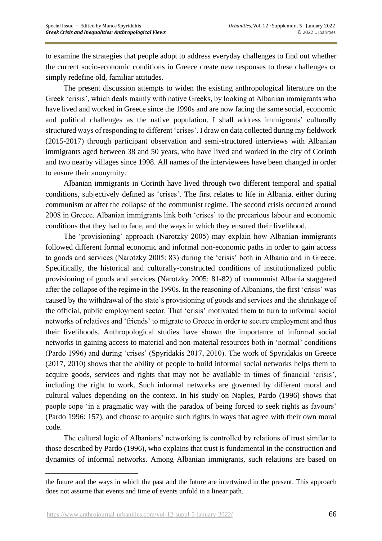to examine the strategies that people adopt to address everyday challenges to find out whether the current socio-economic conditions in Greece create new responses to these challenges or simply redefine old, familiar attitudes.

The present discussion attempts to widen the existing anthropological literature on the Greek 'crisis', which deals mainly with native Greeks, by looking at Albanian immigrants who have lived and worked in Greece since the 1990s and are now facing the same social, economic and political challenges as the native population. I shall address immigrants' culturally structured ways of responding to different 'crises'. I draw on data collected during my fieldwork (2015-2017) through participant observation and semi-structured interviews with Albanian immigrants aged between 38 and 50 years, who have lived and worked in the city of Corinth and two nearby villages since 1998. All names of the interviewees have been changed in order to ensure their anonymity.

Albanian immigrants in Corinth have lived through two different temporal and spatial conditions, subjectively defined as 'crises'. The first relates to life in Albania, either during communism or after the collapse of the communist regime. The second crisis occurred around 2008 in Greece. Albanian immigrants link both 'crises' to the precarious labour and economic conditions that they had to face, and the ways in which they ensured their livelihood.

The 'provisioning' approach (Narotzky 2005) may explain how Albanian immigrants followed different formal economic and informal non-economic paths in order to gain access to goods and services (Narotzky 2005: 83) during the 'crisis' both in Albania and in Greece. Specifically, the historical and culturally-constructed conditions of institutionalized public provisioning of goods and services (Narotzky 2005: 81-82) of communist Albania staggered after the collapse of the regime in the 1990s. In the reasoning of Albanians, the first 'crisis' was caused by the withdrawal of the state's provisioning of goods and services and the shrinkage of the official, public employment sector. That 'crisis' motivated them to turn to informal social networks of relatives and 'friends' to migrate to Greece in order to secure employment and thus their livelihoods. Anthropological studies have shown the importance of informal social networks in gaining access to material and non-material resources both in 'normal' conditions (Pardo 1996) and during 'crises' (Spyridakis 2017, 2010). The work of Spyridakis on Greece (2017, 2010) shows that the ability of people to build informal social networks helps them to acquire goods, services and rights that may not be available in times of financial 'crisis', including the right to work. Such informal networks are governed by different moral and cultural values depending on the context. In his study on Naples, Pardo (1996) shows that people cope 'in a pragmatic way with the paradox of being forced to seek rights as favours' (Pardo 1996: 157), and choose to acquire such rights in ways that agree with their own moral code.

The cultural logic of Albanians' networking is controlled by relations of trust similar to those described by Pardo (1996), who explains that trust is fundamental in the construction and dynamics of informal networks. Among Albanian immigrants, such relations are based on

the future and the ways in which the past and the future are intertwined in the present. This approach does not assume that events and time of events unfold in a linear path.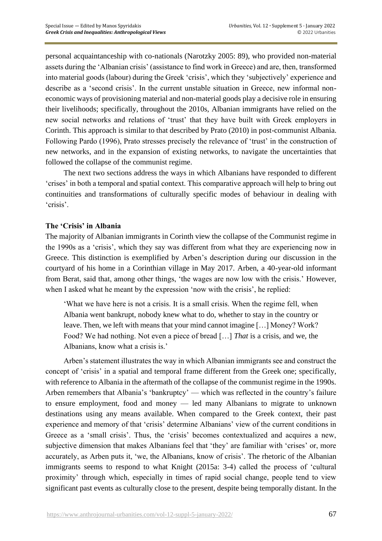personal acquaintanceship with co-nationals (Narotzky 2005: 89), who provided non-material assets during the 'Albanian crisis' (assistance to find work in Greece) and are, then, transformed into material goods (labour) during the Greek 'crisis', which they 'subjectively' experience and describe as a 'second crisis'. In the current unstable situation in Greece, new informal noneconomic ways of provisioning material and non-material goods play a decisive role in ensuring their livelihoods; specifically, throughout the 2010s, Albanian immigrants have relied on the new social networks and relations of 'trust' that they have built with Greek employers in Corinth. This approach is similar to that described by Prato (2010) in post-communist Albania. Following Pardo (1996), Prato stresses precisely the relevance of 'trust' in the construction of new networks, and in the expansion of existing networks, to navigate the uncertainties that followed the collapse of the communist regime.

The next two sections address the ways in which Albanians have responded to different 'crises' in both a temporal and spatial context. This comparative approach will help to bring out continuities and transformations of culturally specific modes of behaviour in dealing with 'crisis'.

## **The 'Crisis' in Albania**

The majority of Albanian immigrants in Corinth view the collapse of the Communist regime in the 1990s as a 'crisis', which they say was different from what they are experiencing now in Greece. This distinction is exemplified by Arben's description during our discussion in the courtyard of his home in a Corinthian village in May 2017. Arben, a 40-year-old informant from Berat, said that, among other things, 'the wages are now low with the crisis.' However, when I asked what he meant by the expression 'now with the crisis', he replied:

'What we have here is not a crisis. It is a small crisis. When the regime fell, when Albania went bankrupt, nobody knew what to do, whether to stay in the country or leave. Then, we left with means that your mind cannot imagine […] Money? Work? Food? We had nothing. Not even a piece of bread […] *That* is a crisis, and we, the Albanians, know what a crisis is.'

Arben's statement illustrates the way in which Albanian immigrants see and construct the concept of 'crisis' in a spatial and temporal frame different from the Greek one; specifically, with reference to Albania in the aftermath of the collapse of the communist regime in the 1990s. Arben remembers that Albania's 'bankruptcy' — which was reflected in the country's failure to ensure employment, food and money — led many Albanians to migrate to unknown destinations using any means available. When compared to the Greek context, their past experience and memory of that 'crisis' determine Albanians' view of the current conditions in Greece as a 'small crisis'. Thus, the 'crisis' becomes contextualized and acquires a new, subjective dimension that makes Albanians feel that 'they' are familiar with 'crises' or, more accurately, as Arben puts it, 'we, the Albanians, know of crisis'. The rhetoric of the Albanian immigrants seems to respond to what Knight (2015a: 3-4) called the process of 'cultural proximity' through which, especially in times of rapid social change, people tend to view significant past events as culturally close to the present, despite being temporally distant. In the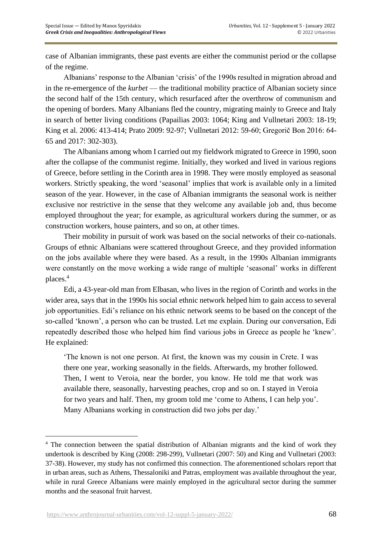case of Albanian immigrants, these past events are either the communist period or the collapse of the regime.

Albanians' response to the Albanian 'crisis' of the 1990s resulted in migration abroad and in the re-emergence of the *kurbet* — the traditional mobility practice of Albanian society since the second half of the 15th century, which resurfaced after the overthrow of communism and the opening of borders. Many Albanians fled the country, migrating mainly to Greece and Italy in search of better living conditions (Papailias 2003: 1064; King and Vullnetari 2003: 18-19; King et al. 2006: 413-414; Prato 2009: 92-97; Vullnetari 2012: 59-60; Gregorič Bon 2016: 64- 65 and 2017: 302-303).

The Albanians among whom I carried out my fieldwork migrated to Greece in 1990, soon after the collapse of the communist regime. Initially, they worked and lived in various regions of Greece, before settling in the Corinth area in 1998. They were mostly employed as seasonal workers. Strictly speaking, the word 'seasonal' implies that work is available only in a limited season of the year. However, in the case of Albanian immigrants the seasonal work is neither exclusive nor restrictive in the sense that they welcome any available job and, thus become employed throughout the year; for example, as agricultural workers during the summer, or as construction workers, house painters, and so on, at other times.

Their mobility in pursuit of work was based on the social networks of their co-nationals. Groups of ethnic Albanians were scattered throughout Greece, and they provided information on the jobs available where they were based. As a result, in the 1990s Albanian immigrants were constantly on the move working a wide range of multiple 'seasonal' works in different places.<sup>4</sup>

Edi, a 43-year-old man from Elbasan, who lives in the region of Corinth and works in the wider area, says that in the 1990s his social ethnic network helped him to gain access to several job opportunities. Edi's reliance on his ethnic network seems to be based on the concept of the so-called 'known', a person who can be trusted. Let me explain. During our conversation, Edi repeatedly described those who helped him find various jobs in Greece as people he 'knew'. He explained:

'The known is not one person. At first, the known was my cousin in Crete. I was there one year, working seasonally in the fields. Afterwards, my brother followed. Then, I went to Veroia, near the border, you know. He told me that work was available there, seasonally, harvesting peaches, crop and so on. I stayed in Veroia for two years and half. Then, my groom told me 'come to Athens, I can help you'. Many Albanians working in construction did two jobs per day.'

<sup>&</sup>lt;sup>4</sup> The connection between the spatial distribution of Albanian migrants and the kind of work they undertook is described by King (2008: 298-299), Vullnetari (2007: 50) and King and Vullnetari (2003: 37-38). However, my study has not confirmed this connection. The aforementioned scholars report that in urban areas, such as Athens, Thessaloniki and Patras, employment was available throughout the year, while in rural Greece Albanians were mainly employed in the agricultural sector during the summer months and the seasonal fruit harvest.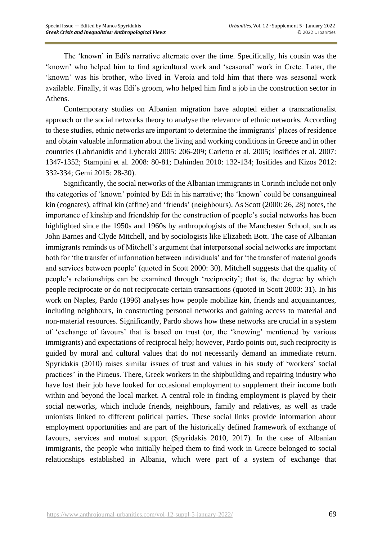The 'known' in Edi's narrative alternate over the time. Specifically, his cousin was the 'known' who helped him to find agricultural work and 'seasonal' work in Crete. Later, the 'known' was his brother, who lived in Veroia and told him that there was seasonal work available. Finally, it was Edi's groom, who helped him find a job in the construction sector in Athens.

Contemporary studies on Albanian migration have adopted either a transnationalist approach or the social networks theory to analyse the relevance of ethnic networks. According to these studies, ethnic networks are important to determine the immigrants' places of residence and obtain valuable information about the living and working conditions in Greece and in other countries (Labrianidis and Lyberaki 2005: 206-209; Carletto et al. 2005; Iosifides et al. 2007: 1347-1352; Stampini et al. 2008: 80-81; Dahinden 2010: 132-134; Iosifides and Kizos 2012: 332-334; Gemi 2015: 28-30).

Significantly, the social networks of the Albanian immigrants in Corinth include not only the categories of 'known' pointed by Edi in his narrative; the 'known' could be consanguineal kin (cognates), affinal kin (affine) and 'friends' (neighbours). As Scott (2000: 26, 28) notes, the importance of kinship and friendship for the construction of people's social networks has been highlighted since the 1950s and 1960s by anthropologists of the Manchester School, such as John Barnes and Clyde Mitchell, and by sociologists like Elizabeth Bott. The case of Albanian immigrants reminds us of Mitchell's argument that interpersonal social networks are important both for 'the transfer of information between individuals' and for 'the transfer of material goods and services between people' (quoted in Scott 2000: 30). Mitchell suggests that the quality of people's relationships can be examined through 'reciprocity'; that is, the degree by which people reciprocate or do not reciprocate certain transactions (quoted in Scott 2000: 31). In his work on Naples, Pardo (1996) analyses how people mobilize kin, friends and acquaintances, including neighbours, in constructing personal networks and gaining access to material and non-material resources. Significantly, Pardo shows how these networks are crucial in a system of 'exchange of favours' that is based on trust (or, the 'knowing' mentioned by various immigrants) and expectations of reciprocal help; however, Pardo points out, such reciprocity is guided by moral and cultural values that do not necessarily demand an immediate return. Spyridakis (2010) raises similar issues of trust and values in his study of 'workers' social practices' in the Piraeus. There, Greek workers in the shipbuilding and repairing industry who have lost their job have looked for occasional employment to supplement their income both within and beyond the local market. A central role in finding employment is played by their social networks, which include friends, neighbours, family and relatives, as well as trade unionists linked to different political parties. These social links provide information about employment opportunities and are part of the historically defined framework of exchange of favours, services and mutual support (Spyridakis 2010, 2017). In the case of Albanian immigrants, the people who initially helped them to find work in Greece belonged to social relationships established in Albania, which were part of a system of exchange that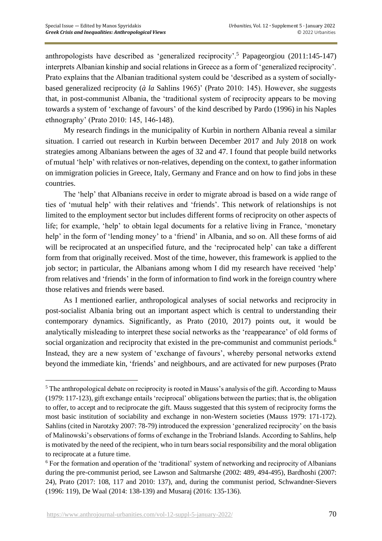anthropologists have described as 'generalized reciprocity'.<sup>5</sup> Papageorgiou (2011:145-147) interprets Albanian kinship and social relations in Greece as a form of 'generalized reciprocity'. Prato explains that the Albanian traditional system could be 'described as a system of sociallybased generalized reciprocity (*à la* Sahlins 1965)' (Prato 2010: 145). However, she suggests that, in post-communist Albania, the 'traditional system of reciprocity appears to be moving towards a system of 'exchange of favours' of the kind described by Pardo (1996) in his Naples ethnography' (Prato 2010: 145, 146-148).

My research findings in the municipality of Kurbin in northern Albania reveal a similar situation. I carried out research in Kurbin between December 2017 and July 2018 on work strategies among Albanians between the ages of 32 and 47. I found that people build networks of mutual 'help' with relatives or non-relatives, depending on the context, to gather information on immigration policies in Greece, Italy, Germany and France and on how to find jobs in these countries.

The 'help' that Albanians receive in order to migrate abroad is based on a wide range of ties of 'mutual help' with their relatives and 'friends'. This network of relationships is not limited to the employment sector but includes different forms of reciprocity on other aspects of life; for example, 'help' to obtain legal documents for a relative living in France, 'monetary help' in the form of 'lending money' to a 'friend' in Albania, and so on. All these forms of aid will be reciprocated at an unspecified future, and the 'reciprocated help' can take a different form from that originally received. Most of the time, however, this framework is applied to the job sector; in particular, the Albanians among whom I did my research have received 'help' from relatives and 'friends' in the form of information to find work in the foreign country where those relatives and friends were based.

As I mentioned earlier, anthropological analyses of social networks and reciprocity in post-socialist Albania bring out an important aspect which is central to understanding their contemporary dynamics. Significantly, as Prato (2010, 2017) points out, it would be analytically misleading to interpret these social networks as the 'reappearance' of old forms of social organization and reciprocity that existed in the pre-communist and communist periods.<sup>6</sup> Instead, they are a new system of 'exchange of favours', whereby personal networks extend beyond the immediate kin, 'friends' and neighbours, and are activated for new purposes (Prato

<sup>&</sup>lt;sup>5</sup> The anthropological debate on reciprocity is rooted in Mauss's analysis of the gift. According to Mauss (1979: 117-123), gift exchange entails 'reciprocal' obligations between the parties; that is, the obligation to offer, to accept and to reciprocate the gift. Mauss suggested that this system of reciprocity forms the most basic institution of sociability and exchange in non-Western societies (Mauss 1979: 171-172). Sahlins (cited in Narotzky 2007: 78-79) introduced the expression 'generalized reciprocity' on the basis of Malinowski's observations of forms of exchange in the Trobriand Islands. According to Sahlins, help is motivated by the need of the recipient, who in turn bears social responsibility and the moral obligation to reciprocate at a future time.

<sup>6</sup> For the formation and operation of the 'traditional' system of networking and reciprocity of Albanians during the pre-communist period, see Lawson and Saltmarshe (2002: 489, 494-495), Bardhoshi (2007: 24), Prato (2017: 108, 117 and 2010: 137), and, during the communist period, Schwandner-Sievers (1996: 119), De Waal (2014: 138-139) and Musaraj (2016: 135-136).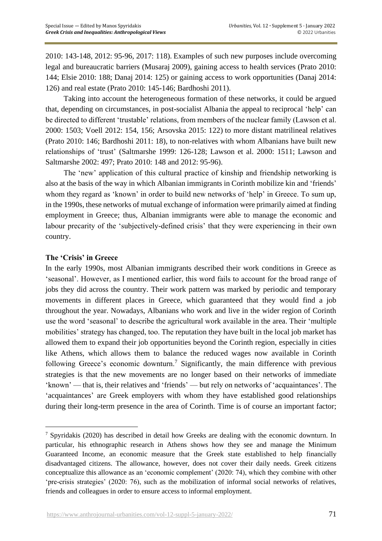2010: 143-148, 2012: 95-96, 2017: 118). Examples of such new purposes include overcoming legal and bureaucratic barriers (Musaraj 2009), gaining access to health services (Prato 2010: 144; Elsie 2010: 188; Danaj 2014: 125) or gaining access to work opportunities (Danaj 2014: 126) and real estate (Prato 2010: 145-146; Bardhoshi 2011).

Taking into account the heterogeneous formation of these networks, it could be argued that, depending on circumstances, in post-socialist Albania the appeal to reciprocal 'help' can be directed to different 'trustable' relations, from members of the nuclear family (Lawson et al. 2000: 1503; Voell 2012: 154, 156; Arsovska 2015: 122) to more distant matrilineal relatives (Prato 2010: 146; Bardhoshi 2011: 18), to non-relatives with whom Albanians have built new relationships of 'trust' (Saltmarshe 1999: 126-128; Lawson et al. 2000: 1511; Lawson and Saltmarshe 2002: 497; Prato 2010: 148 and 2012: 95-96).

The 'new' application of this cultural practice of kinship and friendship networking is also at the basis of the way in which Albanian immigrants in Corinth mobilize kin and 'friends' whom they regard as 'known' in order to build new networks of 'help' in Greece. To sum up, in the 1990s, these networks of mutual exchange of information were primarily aimed at finding employment in Greece; thus, Albanian immigrants were able to manage the economic and labour precarity of the 'subjectively-defined crisis' that they were experiencing in their own country.

# **The 'Crisis' in Greece**

In the early 1990s, most Albanian immigrants described their work conditions in Greece as 'seasonal'. However, as I mentioned earlier, this word fails to account for the broad range of jobs they did across the country. Their work pattern was marked by periodic and temporary movements in different places in Greece, which guaranteed that they would find a job throughout the year. Nowadays, Albanians who work and live in the wider region of Corinth use the word 'seasonal' to describe the agricultural work available in the area. Their 'multiple mobilities' strategy has changed, too. The reputation they have built in the local job market has allowed them to expand their job opportunities beyond the Corinth region, especially in cities like Athens, which allows them to balance the reduced wages now available in Corinth following Greece's economic downturn.<sup>7</sup> Significantly, the main difference with previous strategies is that the new movements are no longer based on their networks of immediate 'known' — that is, their relatives and 'friends' — but rely on networks of 'acquaintances'. The 'acquaintances' are Greek employers with whom they have established good relationships during their long-term presence in the area of Corinth. Time is of course an important factor;

<sup>7</sup> Spyridakis (2020) has described in detail how Greeks are dealing with the economic downturn. In particular, his ethnographic research in Athens shows how they see and manage the Minimum Guaranteed Income, an economic measure that the Greek state established to help financially disadvantaged citizens. The allowance, however, does not cover their daily needs. Greek citizens conceptualize this allowance as an 'economic complement' (2020: 74), which they combine with other 'pre-crisis strategies' (2020: 76), such as the mobilization of informal social networks of relatives, friends and colleagues in order to ensure access to informal employment.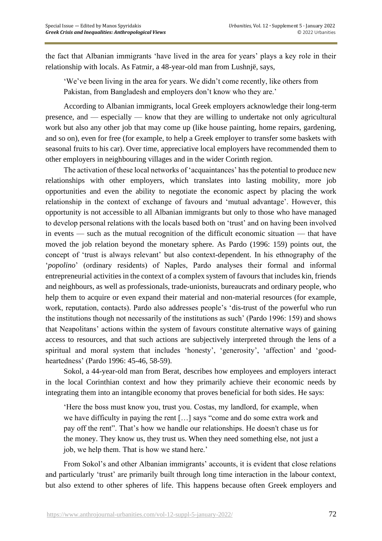the fact that Albanian immigrants 'have lived in the area for years' plays a key role in their relationship with locals. As Fatmir, a 48-year-old man from Lushnjë, says,

'We've been living in the area for years. We didn't come recently, like others from Pakistan, from Bangladesh and employers don't know who they are.'

According to Albanian immigrants, local Greek employers acknowledge their long-term presence, and — especially — know that they are willing to undertake not only agricultural work but also any other job that may come up (like house painting, home repairs, gardening, and so on), even for free (for example, to help a Greek employer to transfer some baskets with seasonal fruits to his car). Over time, appreciative local employers have recommended them to other employers in neighbouring villages and in the wider Corinth region.

The activation of these local networks of 'acquaintances' has the potential to produce new relationships with other employers, which translates into lasting mobility, more job opportunities and even the ability to negotiate the economic aspect by placing the work relationship in the context of exchange of favours and 'mutual advantage'. However, this opportunity is not accessible to all Albanian immigrants but only to those who have managed to develop personal relations with the locals based both on 'trust' and on having been involved in events — such as the mutual recognition of the difficult economic situation — that have moved the job relation beyond the monetary sphere. As Pardo (1996: 159) points out, the concept of 'trust is always relevant' but also context-dependent. Ιn his ethnography of the '*popolino*' (ordinary residents) of Naples, Pardo analyses their formal and informal entrepreneurial activities in the context of a complex system of favours that includes kin, friends and neighbours, as well as professionals, trade-unionists, bureaucrats and ordinary people, who help them to acquire or even expand their material and non-material resources (for example, work, reputation, contacts). Pardo also addresses people's 'dis-trust of the powerful who run the institutions though not necessarily of the institutions as such' (Pardo 1996: 159) and shows that Neapolitans' actions within the system of favours constitute alternative ways of gaining access to resources, and that such actions are subjectively interpreted through the lens of a spiritual and moral system that includes 'honesty', 'generosity', 'affection' and 'goodheartedness' (Pardo 1996: 45-46, 58-59).

Sokol, a 44-year-old man from Berat, describes how employees and employers interact in the local Corinthian context and how they primarily achieve their economic needs by integrating them into an intangible economy that proves beneficial for both sides. He says:

'Here the boss must know you, trust you. Costas, my landlord, for example, when we have difficulty in paying the rent […] says "come and do some extra work and pay off the rent". That's how we handle our relationships. He doesn't chase us for the money. They know us, they trust us. When they need something else, not just a job, we help them. That is how we stand here.'

From Sokol's and other Albanian immigrants' accounts, it is evident that close relations and particularly 'trust' are primarily built through long time interaction in the labour context, but also extend to other spheres of life. This happens because often Greek employers and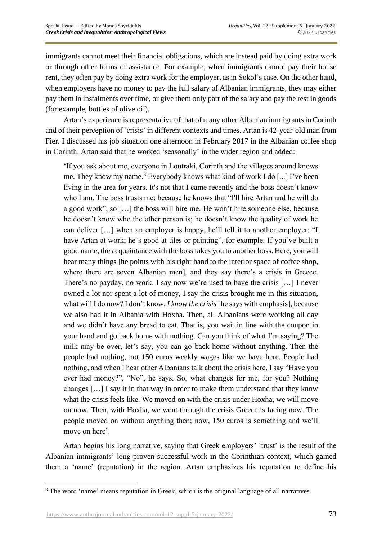immigrants cannot meet their financial obligations, which are instead paid by doing extra work or through other forms of assistance. For example, when immigrants cannot pay their house rent, they often pay by doing extra work for the employer, as in Sokol's case. On the other hand, when employers have no money to pay the full salary of Albanian immigrants, they may either pay them in instalments over time, or give them only part of the salary and pay the rest in goods (for example, bottles of olive oil).

Artan's experience is representative of that of many other Albanian immigrants in Corinth and of their perception of 'crisis' in different contexts and times. Artan is 42-year-old man from Fier. I discussed his job situation one afternoon in February 2017 in the Albanian coffee shop in Corinth. Artan said that he worked 'seasonally' in the wider region and added:

'If you ask about me, everyone in Loutraki, Corinth and the villages around knows me. They know my name.<sup>8</sup> Everybody knows what kind of work I do [...] I've been living in the area for years. It's not that I came recently and the boss doesn't know who I am. The boss trusts me; because he knows that "I'll hire Artan and he will do a good work", so […] the boss will hire me. He won't hire someone else, because he doesn't know who the other person is; he doesn't know the quality of work he can deliver […] when an employer is happy, he'll tell it to another employer: "I have Artan at work; he's good at tiles or painting", for example. If you've built a good name, the acquaintance with the boss takes you to another boss. Here, you will hear many things [he points with his right hand to the interior space of coffee shop, where there are seven Albanian men], and they say there's a crisis in Greece. There's no payday, no work. I say now we're used to have the crisis […] I never owned a lot nor spent a lot of money, I say the crisis brought me in this situation, what will I do now? I don't know. *I know the crisis* [he says with emphasis], because we also had it in Albania with Hoxha. Then, all Albanians were working all day and we didn't have any bread to eat. That is, you wait in line with the coupon in your hand and go back home with nothing. Can you think of what I'm saying? The milk may be over, let's say, you can go back home without anything. Then the people had nothing, not 150 euros weekly wages like we have here. People had nothing, and when I hear other Albanians talk about the crisis here, I say "Have you ever had money?", "No", he says. So, what changes for me, for you? Nothing changes […] I say it in that way in order to make them understand that they know what the crisis feels like. We moved on with the crisis under Hoxha, we will move on now. Then, with Hoxha, we went through the crisis Greece is facing now. The people moved on without anything then; now, 150 euros is something and we'll move on here'.

Artan begins his long narrative, saying that Greek employers' 'trust' is the result of the Albanian immigrants' long-proven successful work in the Corinthian context, which gained them a 'name' (reputation) in the region. Artan emphasizes his reputation to define his

<sup>&</sup>lt;sup>8</sup> The word 'name' means reputation in Greek, which is the original language of all narratives.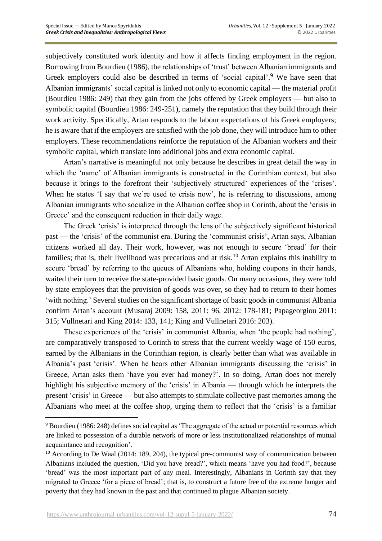subjectively constituted work identity and how it affects finding employment in the region. Borrowing from Bourdieu (1986), the relationships of 'trust' between Albanian immigrants and Greek employers could also be described in terms of 'social capital'.<sup>9</sup> We have seen that Albanian immigrants' social capital is linked not only to economic capital — the material profit (Bourdieu 1986: 249) that they gain from the jobs offered by Greek employers — but also to symbolic capital (Bourdieu 1986: 249-251), namely the reputation that they build through their work activity. Specifically, Artan responds to the labour expectations of his Greek employers; he is aware that if the employers are satisfied with the job done, they will introduce him to other employers. These recommendations reinforce the reputation of the Albanian workers and their symbolic capital, which translate into additional jobs and extra economic capital.

Artan's narrative is meaningful not only because he describes in great detail the way in which the 'name' of Albanian immigrants is constructed in the Corinthian context, but also because it brings to the forefront their 'subjectively structured' experiences of the 'crises'. When he states 'I say that we're used to crisis now', he is referring to discussions, among Albanian immigrants who socialize in the Albanian coffee shop in Corinth, about the 'crisis in Greece' and the consequent reduction in their daily wage.

The Greek 'crisis' is interpreted through the lens of the subjectively significant historical past — the 'crisis' of the communist era. During the 'communist crisis', Artan says, Albanian citizens worked all day. Their work, however, was not enough to secure 'bread' for their families; that is, their livelihood was precarious and at risk.<sup>10</sup> Artan explains this inability to secure 'bread' by referring to the queues of Albanians who, holding coupons in their hands, waited their turn to receive the state-provided basic goods. On many occasions, they were told by state employees that the provision of goods was over, so they had to return to their homes 'with nothing.' Several studies on the significant shortage of basic goods in communist Albania confirm Artan's account (Musaraj 2009: 158, 2011: 96, 2012: 178-181; Papageorgiou 2011: 315; Vullnetari and King 2014: 133, 141; King and Vullnetari 2016: 203).

These experiences of the 'crisis' in communist Albania, when 'the people had nothing', are comparatively transposed to Corinth to stress that the current weekly wage of 150 euros, earned by the Albanians in the Corinthian region, is clearly better than what was available in Albania's past 'crisis'. When he hears other Albanian immigrants discussing the 'crisis' in Greece, Artan asks them 'have you ever had money?'. In so doing, Artan does not merely highlight his subjective memory of the 'crisis' in Albania — through which he interprets the present 'crisis' in Greece — but also attempts to stimulate collective past memories among the Albanians who meet at the coffee shop, urging them to reflect that the 'crisis' is a familiar

<sup>9</sup> Bourdieu (1986: 248) defines social capital as 'The aggregate of the actual or potential resources which are linked to possession of a durable network of more or less institutionalized relationships of mutual acquaintance and recognition'.

 $10$  According to De Waal (2014: 189, 204), the typical pre-communist way of communication between Albanians included the question, 'Did you have bread?', which means 'have you had food?', because 'bread' was the most important part of any meal. Interestingly, Albanians in Corinth say that they migrated to Greece 'for a piece of bread'; that is, to construct a future free of the extreme hunger and poverty that they had known in the past and that continued to plague Albanian society.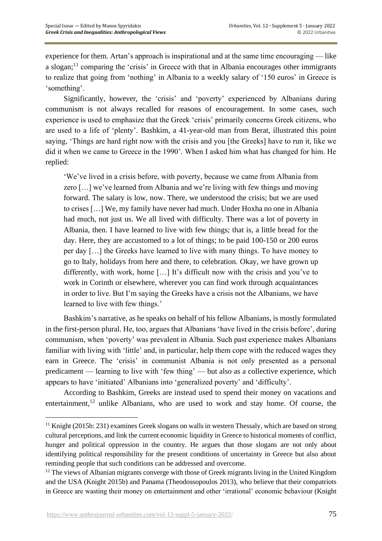experience for them. Artan's approach is inspirational and at the same time encouraging — like a slogan;<sup>11</sup> comparing the 'crisis' in Greece with that in Albania encourages other immigrants to realize that going from 'nothing' in Albania to a weekly salary of '150 euros' in Greece is 'something'.

Significantly, however, the 'crisis' and 'poverty' experienced by Albanians during communism is not always recalled for reasons of encouragement. In some cases, such experience is used to emphasize that the Greek 'crisis' primarily concerns Greek citizens, who are used to a life of 'plenty'. Bashkim, a 41-year-old man from Berat, illustrated this point saying, 'Things are hard right now with the crisis and you [the Greeks] have to run it, like we did it when we came to Greece in the 1990'. When I asked him what has changed for him. He replied:

'We've lived in a crisis before, with poverty, because we came from Albania from zero […] we've learned from Albania and we're living with few things and moving forward. The salary is low, now. There, we understood the crisis; but we are used to crises […] We, my family have never had much. Under Hoxha no one in Albania had much, not just us. We all lived with difficulty. There was a lot of poverty in Albania, then. I have learned to live with few things; that is, a little bread for the day. Here, they are accustomed to a lot of things; to be paid 100-150 or 200 euros per day […] the Greeks have learned to live with many things. To have money to go to Italy, holidays from here and there, to celebration. Okay, we have grown up differently, with work, home […] It's difficult now with the crisis and you've to work in Corinth or elsewhere, wherever you can find work through acquaintances in order to live. But I'm saying the Greeks have a crisis not the Albanians, we have learned to live with few things.'

Bashkim's narrative, as he speaks on behalf of his fellow Albanians, is mostly formulated in the first-person plural. He, too, argues that Albanians 'have lived in the crisis before', during communism, when 'poverty' was prevalent in Albania. Such past experience makes Albanians familiar with living with 'little' and, in particular, help them cope with the reduced wages they earn in Greece. The 'crisis' in communist Albania is not only presented as a personal predicament — learning to live with 'few thing' — but also as a collective experience, which appears to have 'initiated' Albanians into 'generalized poverty' and 'difficulty'.

According to Bashkim, Greeks are instead used to spend their money on vacations and entertainment, $^{12}$  unlike Albanians, who are used to work and stay home. Of course, the

 $11$  Knight (2015b: 231) examines Greek slogans on walls in western Thessaly, which are based on strong cultural perceptions, and link the current economic liquidity in Greece to historical moments of conflict, hunger and political oppression in the country. He argues that those slogans are not only about identifying political responsibility for the present conditions of uncertainty in Greece but also about reminding people that such conditions can be addressed and overcome.

 $12$  The views of Albanian migrants converge with those of Greek migrants living in the United Kingdom and the USA (Knight 2015b) and Panama (Theodossopoulos 2013), who believe that their compatriots in Greece are wasting their money on entertainment and other 'irrational' economic behaviour (Knight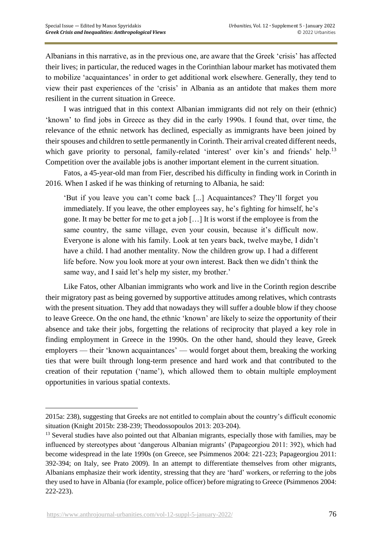Albanians in this narrative, as in the previous one, are aware that the Greek 'crisis' has affected their lives; in particular, the reduced wages in the Corinthian labour market has motivated them to mobilize 'acquaintances' in order to get additional work elsewhere. Generally, they tend to view their past experiences of the 'crisis' in Albania as an antidote that makes them more resilient in the current situation in Greece.

I was intrigued that in this context Albanian immigrants did not rely on their (ethnic) 'known' to find jobs in Greece as they did in the early 1990s. I found that, over time, the relevance of the ethnic network has declined, especially as immigrants have been joined by their spouses and children to settle permanently in Corinth. Their arrival created different needs, which gave priority to personal, family-related 'interest' over kin's and friends' help.<sup>13</sup> Competition over the available jobs is another important element in the current situation.

Fatos, a 45-year-old man from Fier, described his difficulty in finding work in Corinth in 2016. When I asked if he was thinking of returning to Albania, he said:

'But if you leave you can't come back [...] Acquaintances? They'll forget you immediately. If you leave, the other employees say, he's fighting for himself, he's gone. It may be better for me to get a job […] It is worst if the employee is from the same country, the same village, even your cousin, because it's difficult now. Everyone is alone with his family. Look at ten years back, twelve maybe, I didn't have a child. I had another mentality. Now the children grow up. I had a different life before. Now you look more at your own interest. Back then we didn't think the same way, and I said let's help my sister, my brother.'

Like Fatos, other Albanian immigrants who work and live in the Corinth region describe their migratory past as being governed by supportive attitudes among relatives, which contrasts with the present situation. They add that nowadays they will suffer a double blow if they choose to leave Greece. On the one hand, the ethnic 'known' are likely to seize the opportunity of their absence and take their jobs, forgetting the relations of reciprocity that played a key role in finding employment in Greece in the 1990s. On the other hand, should they leave, Greek employers — their 'known acquaintances' — would forget about them, breaking the working ties that were built through long-term presence and hard work and that contributed to the creation of their reputation ('name'), which allowed them to obtain multiple employment opportunities in various spatial contexts.

<sup>2015</sup>a: 238), suggesting that Greeks are not entitled to complain about the country's difficult economic situation (Knight 2015b: 238-239; Theodossopoulos 2013: 203-204).

<sup>&</sup>lt;sup>13</sup> Several studies have also pointed out that Albanian migrants, especially those with families, may be influenced by stereotypes about 'dangerous Albanian migrants' (Papageorgiou 2011: 392), which had become widespread in the late 1990s (on Greece, see Psimmenos 2004: 221-223; Papageorgiou 2011: 392-394; on Italy, see Prato 2009). In an attempt to differentiate themselves from other migrants, Albanians emphasize their work identity, stressing that they are 'hard' workers, or referring to the jobs they used to have in Albania (for example, police officer) before migrating to Greece (Psimmenos 2004: 222-223).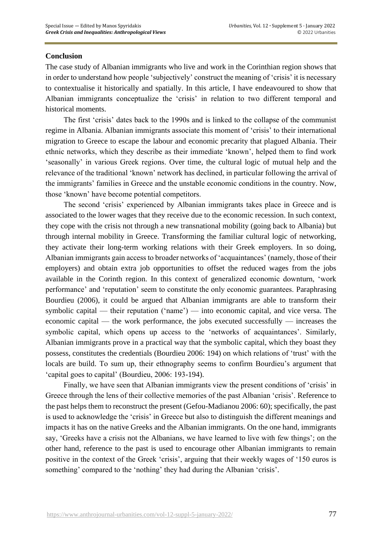## **Conclusion**

The case study of Albanian immigrants who live and work in the Corinthian region shows that in order to understand how people 'subjectively' construct the meaning of 'crisis' it is necessary to contextualise it historically and spatially. In this article, I have endeavoured to show that Albanian immigrants conceptualize the 'crisis' in relation to two different temporal and historical moments.

The first 'crisis' dates back to the 1990s and is linked to the collapse of the communist regime in Albania. Albanian immigrants associate this moment of 'crisis' to their international migration to Greece to escape the labour and economic precarity that plagued Albania. Their ethnic networks, which they describe as their immediate 'known', helped them to find work 'seasonally' in various Greek regions. Over time, the cultural logic of mutual help and the relevance of the traditional 'known' network has declined, in particular following the arrival of the immigrants' families in Greece and the unstable economic conditions in the country. Now, those 'known' have become potential competitors.

The second 'crisis' experienced by Albanian immigrants takes place in Greece and is associated to the lower wages that they receive due to the economic recession. In such context, they cope with the crisis not through a new transnational mobility (going back to Albania) but through internal mobility in Greece. Transforming the familiar cultural logic of networking, they activate their long-term working relations with their Greek employers. In so doing, Albanian immigrants gain access to broader networks of 'acquaintances' (namely, those of their employers) and obtain extra job opportunities to offset the reduced wages from the jobs available in the Corinth region. In this context of generalized economic downturn, 'work performance' and 'reputation' seem to constitute the only economic guarantees. Paraphrasing Bourdieu (2006), it could be argued that Albanian immigrants are able to transform their symbolic capital — their reputation ('name') — into economic capital, and vice versa. The economic capital — the work performance, the jobs executed successfully — increases the symbolic capital, which opens up access to the 'networks of acquaintances'. Similarly, Albanian immigrants prove in a practical way that the symbolic capital, which they boast they possess, constitutes the credentials (Bourdieu 2006: 194) on which relations of 'trust' with the locals are build. To sum up, their ethnography seems to confirm Bourdieu's argument that 'capital goes to capital' (Bourdieu, 2006: 193-194).

Finally, we have seen that Albanian immigrants view the present conditions of 'crisis' in Greece through the lens of their collective memories of the past Albanian 'crisis'. Reference to the past helps them to reconstruct the present (Gefou-Madianou 2006: 60); specifically, the past is used to acknowledge the 'crisis' in Greece but also to distinguish the different meanings and impacts it has on the native Greeks and the Albanian immigrants. On the one hand, immigrants say, 'Greeks have a crisis not the Albanians, we have learned to live with few things'; on the other hand, reference to the past is used to encourage other Albanian immigrants to remain positive in the context of the Greek 'crisis', arguing that their weekly wages of '150 euros is something' compared to the 'nothing' they had during the Albanian 'crisis'.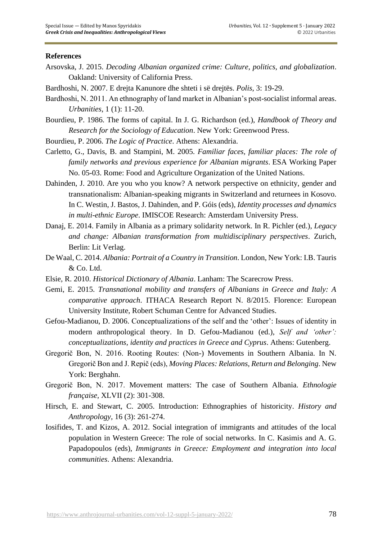### **References**

- Arsovska, J. 2015. *Decoding Albanian organized crime: Culture, politics, and globalization*. Oakland: University of California Press.
- Bardhoshi, N. 2007. E drejta Kanunore dhe shteti i së drejtës. *Polis*, 3: 19-29.
- Bardhoshi, N. 2011. An ethnography of land market in Albanian's post-socialist informal areas. *Urbanities*, 1 (1): 11-20.
- Bourdieu, P. 1986. The forms of capital. In J. G. Richardson (ed.), *Handbook of Theory and Research for the Sociology of Education*. New York: Greenwood Press.
- Bourdieu, P. 2006. *The Logic of Practice*. Athens: Alexandria.
- Carletto, G., Davis, B. and Stampini, M. 2005. *Familiar faces, familiar places: The role of family networks and previous experience for Albanian migrants*. ESA Working Paper No. 05-03. Rome: Food and Agriculture Organization of the United Nations.
- Dahinden, J. 2010. Are you who you know? A network perspective on ethnicity, gender and transnationalism: Albanian-speaking migrants in Switzerland and returnees in Kosovo. In C. Westin, J. Bastos, J. Dahinden, and P. Góis (eds), *Identity processes and dynamics in multi-ethnic Europe*. IMISCOE Research: Amsterdam University Press.
- Danaj, E. 2014. Family in Albania as a primary solidarity network. In R. Pichler (ed.), *Legacy and change: Albanian transformation from multidisciplinary perspectives*. Zurich, Berlin: Lit Verlag.
- De Waal, C. 2014. *Albania: Portrait of a Country in Transition*. London, New York: I.B. Tauris & Co. Ltd.
- Elsie, R. 2010. *Historical Dictionary of Albania*. Lanham: The Scarecrow Press.
- Gemi, E. 2015. *Transnational mobility and transfers of Albanians in Greece and Italy: A comparative approach*. ITHACA Research Report N. 8/2015. Florence: European University Institute, Robert Schuman Centre for Advanced Studies.
- Gefou-Madianou, D. 2006. Conceptualizations of the self and the 'other': Issues of identity in modern anthropological theory. In D. Gefou-Madianou (ed.), *Self and 'other': conceptualizations, identity and practices in Greece and Cyprus*. Athens: Gutenberg.
- Gregorič Bon, N. 2016. Rooting Routes: (Non-) Movements in Southern Albania. In N. Gregorič Bon and J. Repič (eds), *Moving Places: Relations, Return and Belonging*. New York: Berghahn.
- Gregorič Bon, N. 2017. Movement matters: The case of Southern Albania. *Ethnologie française,* XLVII (2): 301-308.
- Hirsch, E. and Stewart, C. 2005. Introduction: Ethnographies of historicity. *History and Anthropology,* 16 (3): 261-274.
- Iosifides, T. and Kizos, A. 2012. Social integration of immigrants and attitudes of the local population in Western Greece: The role of social networks. In C. Kasimis and A. G. Papadopoulos (eds), *Immigrants in Greece: Employment and integration into local communities*. Athens: Alexandria.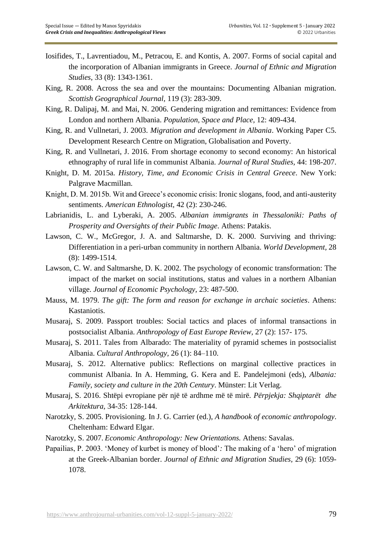- Iosifides, T., Lavrentiadou, M., Petracou, E. and Kontis, A. 2007. Forms of social capital and the incorporation of Albanian immigrants in Greece. *Journal of Ethnic and Migration Studies*, 33 (8): 1343-1361.
- King, R. 2008. Across the sea and over the mountains: Documenting Albanian migration. *Scottish Geographical Journal,* 119 (3): 283-309.
- King, R. Dalipaj, M. and Mai, N. 2006. Gendering migration and remittances: Evidence from London and northern Albania. *Population, Space and Place,* 12: 409-434.
- King, R. and Vullnetari, J. 2003. *Migration and development in Albania*. Working Paper C5. Development Research Centre on Migration, Globalisation and Poverty.
- King, R. and Vullnetari, J. 2016. From shortage economy to second economy: An historical ethnography of rural life in communist Albania. *Journal of Rural Studies,* 44: 198-207.
- Knight, D. M. 2015a. *History, Time, and Economic Crisis in Central Greece*. New York: Palgrave Macmillan.
- Knight, D. M. 2015b. Wit and Greece's economic crisis: Ironic slogans, food, and anti-austerity sentiments. *American Ethnologist,* 42 (2): 230-246.
- Labrianidis, L. and Lyberaki, A. 2005. *Albanian immigrants in Thessaloniki: Paths of Prosperity and Oversights of their Public Image*. Athens: Patakis.
- Lawson, C. W., McGregor, J. A. and Saltmarshe, D. K. 2000. Surviving and thriving: Differentiation in a peri-urban community in northern Albania. *World Development,* 28 (8): 1499-1514.
- Lawson, C. W. and Saltmarshe, D. K. 2002. The psychology of economic transformation: The impact of the market on social institutions, status and values in a northern Albanian village. *Journal of Economic Psychology,* 23: 487-500.
- Mauss, M. 1979. *The gift: The form and reason for exchange in archaic societies*. Athens: Kastaniotis.
- Musaraj, S. 2009. Passport troubles: Social tactics and places of informal transactions in postsocialist Albania. *Anthropology of East Europe Review,* 27 (2): 157- 175.
- Musaraj, S. 2011. Tales from Albarado: The materiality of pyramid schemes in postsocialist Albania. *Cultural Anthropology,* 26 (1): 84–110.
- Musaraj, S. 2012. Alternative publics: Reflections on marginal collective practices in communist Albania. In A. Hemming, G. Kera and E. Pandelejmoni (eds), *Albania: Family, society and culture in the 20th Century*. Münster: Lit Verlag.
- Musaraj, S. 2016. Shtëpi evropiane për një të ardhme më të mirë. *Përpjekja: Shqiptarët dhe Arkitektura,* 34-35: 128-144.
- Narotzky, S. 2005. Provisioning. In J. G. Carrier (ed.), *A handbook of economic anthropology*. Cheltenham: Edward Elgar.
- Narotzky, S. 2007. *Economic Anthropology: New Orientations.* Athens: Savalas.
- Papailias, P. 2003. 'Money of kurbet is money of blood'*:* The making of a 'hero' of migration at the Greek-Albanian border. *Journal of Ethnic and Migration Studies,* 29 (6): 1059- 1078.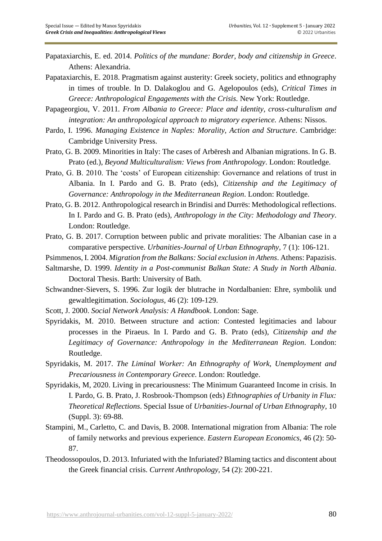- Papataxiarchis, E. ed. 2014. *Politics of the mundane: Border, body and citizenship in Greece*. Athens: Alexandria.
- Papataxiarchis, E. 2018. Pragmatism against austerity: Greek society, politics and ethnography in times of trouble. In D. Dalakoglou and G. Agelopoulos (eds), *Critical Times in Greece: Anthropological Engagements with the Crisis.* New York: Routledge.
- Papageorgiou, V. 2011*. From Albania to Greece: Place and identity, cross-culturalism and integration: An anthropological approach to migratory experience.* Athens: Nissos.
- Pardo, I. 1996. *Managing Existence in Naples: Morality, Action and Structure*. Cambridge: Cambridge University Press.
- Prato, G. B. 2009. Minorities in Italy: The cases of Arbëresh and Albanian migrations. In G. B. Prato (ed.), *Beyond Multiculturalism: Views from Anthropology*. London: Routledge.
- Prato, G. B. 2010. The 'costs' of European citizenship: Governance and relations of trust in Albania. In I. Pardo and G. B. Prato (eds), *Citizenship and the Legitimacy of Governance: Anthropology in the Mediterranean Region*. London: Routledge.
- Prato, G. B. 2012. Anthropological research in Brindisi and Durrës: Methodological reflections. In I. Pardo and G. B. Prato (eds), *Anthropology in the City: Methodology and Theory*. London: Routledge.
- Prato, G. B. 2017. Corruption between public and private moralities: The Albanian case in a comparative perspective. *Urbanities-Journal of Urban Ethnography,* 7 (1): 106-121.
- Psimmenos, I. 2004. *Migration from the Balkans: Social exclusion in Athens*. Athens: Papazisis.
- Saltmarshe, D. 1999. *Identity in a Post-communist Balkan State: A Study in North Albania*. Doctoral Thesis. Barth: University of Bath.
- Schwandner-Sievers, S. 1996. Zur logik der blutrache in Nordalbanien: Ehre, symbolik und gewaltlegitimation. *Sociologus,* 46 (2): 109-129.
- Scott, J. 2000. *Social Network Analysis: A Handbook*. London: Sage.
- Spyridakis, M. 2010. Between structure and action: Contested legitimacies and labour processes in the Piraeus. In I. Pardo and G. B. Prato (eds), *Citizenship and the Legitimacy of Governance: Anthropology in the Mediterranean Region*. London: Routledge.
- Spyridakis, M. 2017. *The Liminal Worker: An Ethnography of Work, Unemployment and Precariousness in Contemporary Greece*. London: Routledge.
- Spyridakis, M, 2020. Living in precariousness: The Minimum Guaranteed Income in crisis. In I. Pardo, G. B. Prato, J. Rosbrook-Thompson (eds) *Ethnographies of Urbanity in Flux: Theoretical Reflections*. Special Issue of *Urbanities-Journal of Urban Ethnography*, 10 (Suppl. 3): 69-88.
- Stampini, M., Carletto, C. and Davis, B. 2008. International migration from Albania: The role of family networks and previous experience. *Eastern European Economics,* 46 (2): 50- 87.
- Theodossopoulos, D. 2013. Infuriated with the Infuriated? Blaming tactics and discontent about the Greek financial crisis. *Current Anthropology,* 54 (2): 200-221.